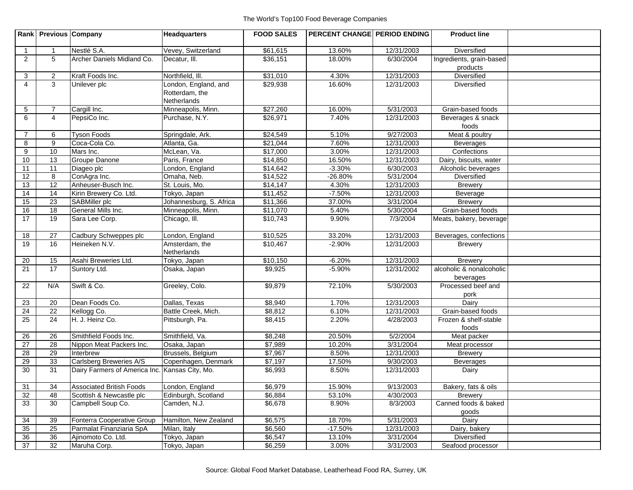|                 | Rank Previous Company |                                                | <b>Headquarters</b>          | <b>FOOD SALES</b>    | PERCENT CHANGE PERIOD ENDING |                          | <b>Product line</b>                           |  |
|-----------------|-----------------------|------------------------------------------------|------------------------------|----------------------|------------------------------|--------------------------|-----------------------------------------------|--|
| $\overline{1}$  | $\mathbf{1}$          | Nestlé S.A.                                    | Vevey, Switzerland           | \$61,615             | 13.60%                       | 12/31/2003               | Diversified                                   |  |
| $\overline{2}$  | 5                     | Archer Daniels Midland Co.                     | Decatur. III.                | \$36,151             | 18.00%                       | 6/30/2004                | Ingredients, grain-based                      |  |
|                 |                       |                                                |                              |                      |                              |                          | products                                      |  |
| 3               | $\overline{2}$        | Kraft Foods Inc.                               | Northfield, III.             | \$31,010             | 4.30%                        | 12/31/2003               | Diversified                                   |  |
| $\overline{4}$  | 3                     | Unilever plc                                   | London, England, and         | \$29,938             | 16.60%                       | 12/31/2003               | Diversified                                   |  |
|                 |                       |                                                | Rotterdam, the               |                      |                              |                          |                                               |  |
|                 |                       |                                                | Netherlands                  |                      |                              |                          |                                               |  |
| 5               | $\overline{7}$        | Cargill Inc.                                   | Minneapolis, Minn.           | \$27,260             | 16.00%                       | 5/31/2003                | Grain-based foods                             |  |
| 6               | $\overline{4}$        | PepsiCo Inc.                                   | Purchase, N.Y.               | \$26,971             | 7.40%                        | 12/31/2003               | Beverages & snack                             |  |
|                 |                       |                                                |                              |                      |                              |                          | foods                                         |  |
| $\overline{7}$  | 6                     | <b>Tyson Foods</b>                             | Springdale, Ark.             | \$24,549             | 5.10%                        | 9/27/2003                | Meat & poultry                                |  |
| 8               | 9                     | Coca-Cola Co.                                  | Atlanta, Ga.                 | \$21,044<br>\$17,000 | 7.60%<br>3.00%               | 12/31/2003<br>12/31/2003 | Beverages                                     |  |
| 9<br>10         | 10<br>13              | Mars Inc.<br>Groupe Danone                     | McLean, Va.<br>Paris, France | \$14,850             | 16.50%                       | 12/31/2003               | Confections                                   |  |
| 11              | 11                    | Diageo plc                                     | London, England              | \$14,642             | $-3.30%$                     | 6/30/2003                | Dairy, biscuits, water<br>Alcoholic beverages |  |
| $\overline{12}$ | 8                     | ConAgra Inc.                                   | Omaha, Neb.                  | \$14,522             | $-26.80%$                    | 5/31/2004                | Diversified                                   |  |
| 13              | 12                    | Anheuser-Busch Inc.                            | St. Louis, Mo.               | \$14,147             | 4.30%                        | 12/31/2003               | <b>Brewery</b>                                |  |
| $\overline{14}$ | 14                    | Kirin Brewery Co. Ltd.                         | Tokyo, Japan                 | \$11,452             | $-7.50%$                     | 12/31/2003               | Beverage                                      |  |
| 15              | 23                    | SABMiller plc                                  | Johannesburg, S. Africa      | \$11,366             | 37.00%                       | 3/31/2004                | <b>Brewery</b>                                |  |
| 16              | 18                    | General Mills Inc.                             | Minneapolis, Minn.           | \$11,070             | 5.40%                        | 5/30/2004                | Grain-based foods                             |  |
| $\overline{17}$ | 19                    | Sara Lee Corp.                                 | Chicago, Ill.                | \$10,743             | 9.90%                        | 7/3/2004                 | Meats, bakery, beverage                       |  |
|                 |                       |                                                |                              |                      |                              |                          |                                               |  |
| 18              | 27                    | Cadbury Schweppes plc                          | London, England              | \$10,525             | 33.20%                       | 12/31/2003               | Beverages, confections                        |  |
| 19              | 16                    | Heineken N.V.                                  | Amsterdam, the               | \$10,467             | $-2.90%$                     | 12/31/2003               | <b>Brewery</b>                                |  |
|                 |                       |                                                | Netherlands                  |                      |                              |                          |                                               |  |
| 20              | 15                    | Asahi Breweries Ltd.                           | Tokyo, Japan                 | \$10,150             | $-6.20%$                     | 12/31/2003               | <b>Brewery</b>                                |  |
| 21              | 17                    | Suntory Ltd.                                   | Osaka, Japan                 | \$9,925              | $-5.90%$                     | 12/31/2002               | alcoholic & nonalcoholic                      |  |
|                 |                       |                                                |                              |                      |                              |                          | beverages                                     |  |
| 22              | N/A                   | Swift & Co.                                    | Greeley, Colo.               | \$9,879              | 72.10%                       | 5/30/2003                | Processed beef and                            |  |
|                 |                       |                                                |                              |                      |                              |                          | pork                                          |  |
| 23              | 20                    | Dean Foods Co.                                 | Dallas, Texas                | \$8,940              | 1.70%                        | 12/31/2003               | Dairy                                         |  |
| 24              | 22                    | Kellogg Co.                                    | Battle Creek, Mich.          | \$8,812              | 6.10%                        | 12/31/2003               | Grain-based foods                             |  |
| 25              | 24                    | H. J. Heinz Co.                                | Pittsburgh, Pa.              | \$8,415              | 2.20%                        | 4/28/2003                | Frozen & shelf-stable                         |  |
|                 | 26                    | Smithfield Foods Inc.                          | Smithfield, Va.              | \$8,248              | 20.50%                       | 5/2/2004                 | foods<br>Meat packer                          |  |
| 26<br>27        | 28                    | Nippon Meat Packers Inc.                       | Osaka, Japan                 | \$7,989              | 10.20%                       | 3/31/2004                | Meat processor                                |  |
| 28              | 29                    | Interbrew                                      | Brussels, Belgium            | \$7,967              | 8.50%                        | 12/31/2003               | <b>Brewery</b>                                |  |
| 29              | 33                    | Carlsberg Breweries A/S                        | Copenhagen, Denmark          | \$7,197              | 17.50%                       | 9/30/2003                | <b>Beverages</b>                              |  |
| 30              | 31                    | Dairy Farmers of America Inc. Kansas City, Mo. |                              | \$6,993              | 8.50%                        | 12/31/2003               | Dairy                                         |  |
|                 |                       |                                                |                              |                      |                              |                          |                                               |  |
| 31              | $\overline{34}$       | <b>Associated British Foods</b>                | London, England              | \$6,979              | 15.90%                       | 9/13/2003                | Bakery, fats & oils                           |  |
| 32              | 48                    | Scottish & Newcastle plc                       | Edinburgh, Scotland          | \$6,884              | 53.10%                       | 4/30/2003                | <b>Brewery</b>                                |  |
| 33              | 30                    | Campbell Soup Co.                              | Camden, N.J.                 | \$6,678              | 8.90%                        | 8/3/2003                 | Canned foods & baked                          |  |
|                 |                       |                                                |                              |                      |                              |                          | goods                                         |  |
| 34              | 39                    | Fonterra Cooperative Group                     | Hamilton, New Zealand        | \$6,575              | 18.70%                       | 5/31/2003                | Dairy                                         |  |
| 35              | 25                    | Parmalat Finanziaria SpA                       | Milan, Italy                 | \$6,560              | $-17.50%$                    | 12/31/2003               | Dairy, bakery                                 |  |
| 36              | 36                    | Ajinomoto Co. Ltd.                             | Tokyo, Japan                 | \$6,547              | 13.10%                       | 3/31/2004                | Diversified                                   |  |
| 37              | 32                    | Maruha Corp.                                   | Tokyo, Japan                 | \$6,259              | 3.00%                        | 3/31/2003                | Seafood processor                             |  |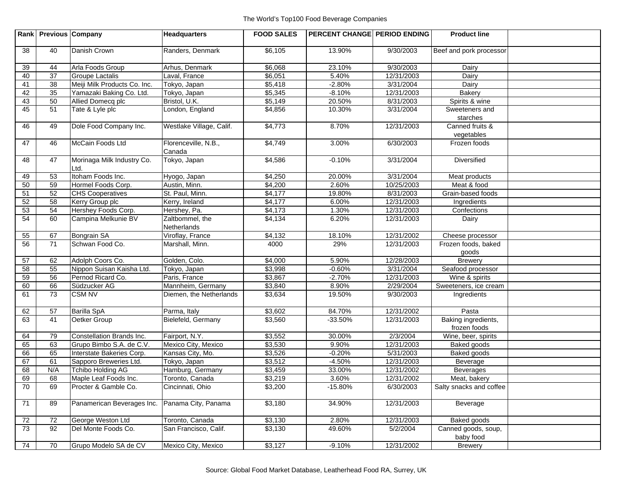|    | Rank Previous Company |                                    | <b>Headquarters</b>            | <b>FOOD SALES</b> | <b>PERCENT CHANGE PERIOD ENDING</b> |            | <b>Product line</b>                 |  |
|----|-----------------------|------------------------------------|--------------------------------|-------------------|-------------------------------------|------------|-------------------------------------|--|
| 38 | 40                    | Danish Crown                       | Randers, Denmark               | \$6,105           | 13.90%                              | 9/30/2003  | Beef and pork processor             |  |
| 39 | 44                    | Arla Foods Group                   | Arhus, Denmark                 | \$6,068           | 23.10%                              | 9/30/2003  | Dairy                               |  |
| 40 | 37                    | <b>Groupe Lactalis</b>             | Laval, France                  | \$6,051           | 5.40%                               | 12/31/2003 | Dairy                               |  |
| 41 | 38                    | Meiji Milk Products Co. Inc.       | Tokyo, Japan                   | \$5,418           | $-2.80%$                            | 3/31/2004  | Dairy                               |  |
| 42 | 35                    | Yamazaki Baking Co. Ltd.           | Tokyo, Japan                   | \$5,345           | $-8.10%$                            | 12/31/2003 | <b>Bakery</b>                       |  |
| 43 | 50                    | Allied Domecq plc                  | Bristol, U.K.                  | \$5,149           | 20.50%                              | 8/31/2003  | Spirits & wine                      |  |
| 45 | 51                    | Tate & Lyle plc                    | London, England                | \$4,856           | 10.30%                              | 3/31/2004  | Sweeteners and<br>starches          |  |
| 46 | 49                    | Dole Food Company Inc.             | Westlake Village, Calif.       | \$4,773           | 8.70%                               | 12/31/2003 | Canned fruits &<br>vegetables       |  |
| 47 | 46                    | McCain Foods Ltd                   | Florenceville, N.B.,<br>Canada | \$4,749           | 3.00%                               | 6/30/2003  | Frozen foods                        |  |
| 48 | 47                    | Morinaga Milk Industry Co.<br>Ltd. | Tokyo, Japan                   | \$4,586           | $-0.10%$                            | 3/31/2004  | Diversified                         |  |
| 49 | 53                    | Itoham Foods Inc.                  | Hyogo, Japan                   | \$4,250           | 20.00%                              | 3/31/2004  | Meat products                       |  |
| 50 | 59                    | Hormel Foods Corp.                 | Austin, Minn.                  | \$4,200           | 2.60%                               | 10/25/2003 | Meat & food                         |  |
| 51 | 52                    | <b>CHS Cooperatives</b>            | St. Paul, Minn.                | \$4,177           | 19.80%                              | 8/31/2003  | Grain-based foods                   |  |
| 52 | 58                    | Kerry Group plc                    | Kerry, Ireland                 | \$4,177           | 6.00%                               | 12/31/2003 | Ingredients                         |  |
| 53 | 54                    | Hershey Foods Corp.                | Hershey, Pa.                   | \$4,173           | 1.30%                               | 12/31/2003 | Confections                         |  |
| 54 | 60                    | Campina Melkunie BV                | Zaltbommel, the<br>Netherlands | \$4,134           | 6.20%                               | 12/31/2003 | Dairy                               |  |
| 55 | 67                    | <b>Bongrain SA</b>                 | Viroflay, France               | \$4,132           | 18.10%                              | 12/31/2002 | Cheese processor                    |  |
| 56 | 71                    | Schwan Food Co.                    | Marshall, Minn.                | 4000              | 29%                                 | 12/31/2003 | Frozen foods, baked<br>goods        |  |
| 57 | 62                    | Adolph Coors Co.                   | Golden, Colo.                  | \$4,000           | 5.90%                               | 12/28/2003 | <b>Brewery</b>                      |  |
| 58 | 55                    | Nippon Suisan Kaisha Ltd.          | Tokyo, Japan                   | \$3,998           | $-0.60%$                            | 3/31/2004  | Seafood processor                   |  |
| 59 | 56                    | Pernod Ricard Co.                  | Paris, France                  | \$3,867           | $-2.70%$                            | 12/31/2003 | Wine & spirits                      |  |
| 60 | 66                    | Südzucker AG                       | Mannheim, Germany              | \$3,840           | 8.90%                               | 2/29/2004  | Sweeteners, ice cream               |  |
| 61 | 73                    | <b>CSM NV</b>                      | Diemen, the Netherlands        | \$3,634           | 19.50%                              | 9/30/2003  | Ingredients                         |  |
| 62 | 57                    | <b>Barilla SpA</b>                 | Parma, Italy                   | \$3,602           | 84.70%                              | 12/31/2002 | Pasta                               |  |
| 63 | 41                    | Oetker Group                       | Bielefeld, Germany             | \$3,560           | $-33.50%$                           | 12/31/2003 | Baking ingredients,<br>frozen foods |  |
| 64 | 79                    | Constellation Brands Inc.          | Fairport, N.Y.                 | \$3,552           | 30.00%                              | 2/3/2004   | Wine, beer, spirits                 |  |
| 65 | 63                    | Grupo Bimbo S.A. de C.V.           | Mexico City, Mexico            | \$3,530           | 9.90%                               | 12/31/2003 | Baked goods                         |  |
| 66 | 65                    | Interstate Bakeries Corp.          | Kansas City, Mo.               | \$3,526           | $-0.20%$                            | 5/31/2003  | Baked goods                         |  |
| 67 | 61                    | Sapporo Breweries Ltd.             | Tokyo, Japan                   | \$3,512           | $-4.50%$                            | 12/31/2003 | Beverage                            |  |
| 68 | N/A                   | <b>Tchibo Holding AG</b>           | Hamburg, Germany               | \$3,459           | 33.00%                              | 12/31/2002 | <b>Beverages</b>                    |  |
| 69 | 68                    | Maple Leaf Foods Inc.              | Toronto, Canada                | \$3,219           | 3.60%                               | 12/31/2002 | Meat, bakery                        |  |
| 70 | 69                    | Procter & Gamble Co.               | Cincinnati, Ohio               | \$3,200           | $-15.80%$                           | 6/30/2003  | Salty snacks and coffee             |  |
| 71 | 89                    | Panamerican Beverages Inc.         | Panama City, Panama            | \$3,180           | 34.90%                              | 12/31/2003 | Beverage                            |  |
| 72 | 72                    | George Weston Ltd                  | Toronto, Canada                | \$3,130           | 2.80%                               | 12/31/2003 | Baked goods                         |  |
| 73 | 92                    | Del Monte Foods Co.                | San Francisco, Calif.          | \$3,130           | 49.60%                              | 5/2/2004   | Canned goods, soup,<br>baby food    |  |
| 74 | 70                    | Grupo Modelo SA de CV              | Mexico City, Mexico            | \$3,127           | $-9.10%$                            | 12/31/2002 | <b>Brewery</b>                      |  |